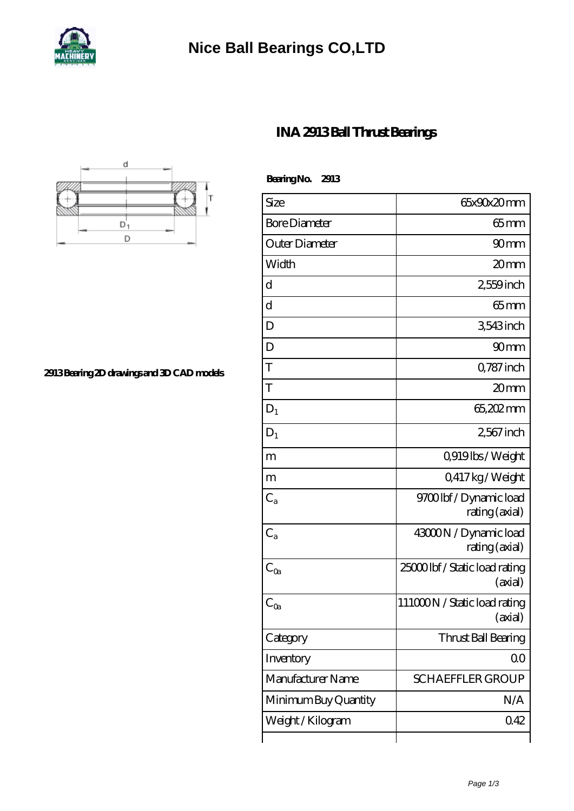

## **[Nice Ball Bearings CO,LTD](https://winkler-waerme.de)**



| BearingNo.<br>2913   |                                           |
|----------------------|-------------------------------------------|
| Size                 | 65x90x20mm                                |
| <b>Bore Diameter</b> | $65 \text{mm}$                            |
| Outer Diameter       | 90 <sub>mm</sub>                          |
| Width                | 20mm                                      |
| d                    | 2,559 inch                                |
| d                    | $65$ mm                                   |
| D                    | 3543 inch                                 |
| D                    | 90mm                                      |
| T                    | Q787 inch                                 |
| T                    | 20 <sub>mm</sub>                          |
| $D_1$                | 65,202mm                                  |
| $D_1$                | 2,567 inch                                |
| m                    | 0,919lbs/Weight                           |
| m                    | Q417kg/Weight                             |
| $C_{a}$              | 9700lbf/Dynamic load<br>rating (axial)    |
| $C_{a}$              | 43000N / Dynamic load<br>rating (axial)   |
| $C_{Qa}$             | 25000 lbf / Static load rating<br>(axial) |
| $C_{Qa}$             | 111000N / Static load rating<br>(axial)   |
| Category             | Thrust Ball Bearing                       |
| Inventory            | 0 <sub>0</sub>                            |
| Manufacturer Name    | <b>SCHAEFFLER GROUP</b>                   |
| Minimum Buy Quantity | N/A                                       |
| Weight / Kilogram    | 042                                       |
|                      |                                           |



**[2913 Bearing 2D drawings and 3D CAD models](https://winkler-waerme.de/pic-65039044.html)**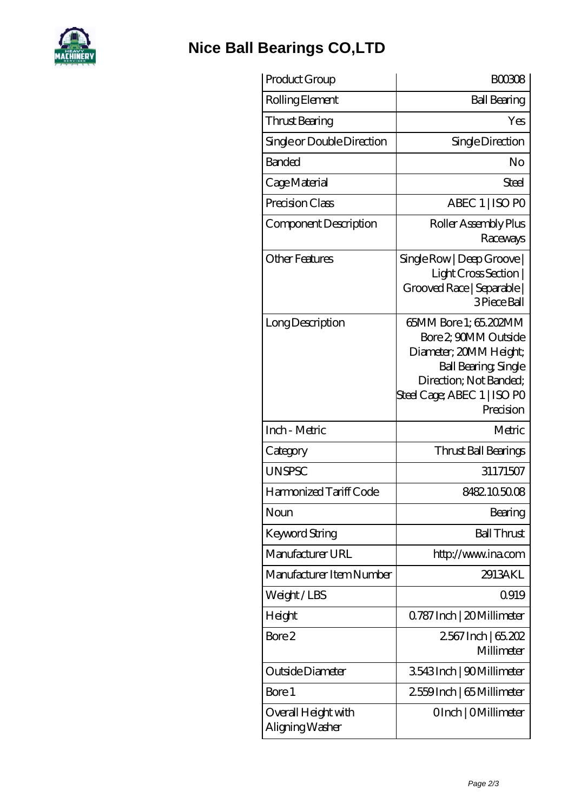

## **[Nice Ball Bearings CO,LTD](https://winkler-waerme.de)**

| Product Group                          | <b>BOO3O8</b>                                                                                                                                                        |
|----------------------------------------|----------------------------------------------------------------------------------------------------------------------------------------------------------------------|
| Rolling Element                        | <b>Ball Bearing</b>                                                                                                                                                  |
| Thrust Bearing                         | Yes                                                                                                                                                                  |
| Single or Double Direction             | Single Direction                                                                                                                                                     |
| Banded                                 | No                                                                                                                                                                   |
| Cage Material                          | Steel                                                                                                                                                                |
| Precision Class                        | ABEC 1   ISO PO                                                                                                                                                      |
| Component Description                  | Roller Assembly Plus<br>Raceways                                                                                                                                     |
| <b>Other Features</b>                  | SingleRow   Deep Grove  <br>Light Cross Section<br>Grooved Race   Separable  <br>3 Piece Ball                                                                        |
| Long Description                       | 65MM Bore 1; 65.202MM<br>Bore 2 90MM Outside<br>Diameter; 20MM Height;<br>Ball Bearing, Single<br>Direction; Not Banded;<br>Steel Cage; ABEC 1   ISO PO<br>Precision |
| Inch - Metric                          | Metric                                                                                                                                                               |
| Category                               | Thrust Ball Bearings                                                                                                                                                 |
| <b>UNSPSC</b>                          | 31171507                                                                                                                                                             |
| Harmonized Tariff Code                 | 8482105008                                                                                                                                                           |
| Noun                                   | Bearing                                                                                                                                                              |
| Keyword String                         | <b>Ball Thrust</b>                                                                                                                                                   |
| Manufacturer URL                       | http://www.ina.com                                                                                                                                                   |
| Manufacturer Item Number               | 2913AKL                                                                                                                                                              |
| Weight/LBS                             | Q919                                                                                                                                                                 |
| Height                                 | Q787 Inch   20 Millimeter                                                                                                                                            |
| Bore 2                                 | 2567 Inch   65.202<br>Millimeter                                                                                                                                     |
| Outside Diameter                       | 3543Inch   90Millimeter                                                                                                                                              |
| Bore 1                                 | 2559Inch   65 Millimeter                                                                                                                                             |
| Overall Height with<br>Aligning Washer | OInch   OMillimeter                                                                                                                                                  |